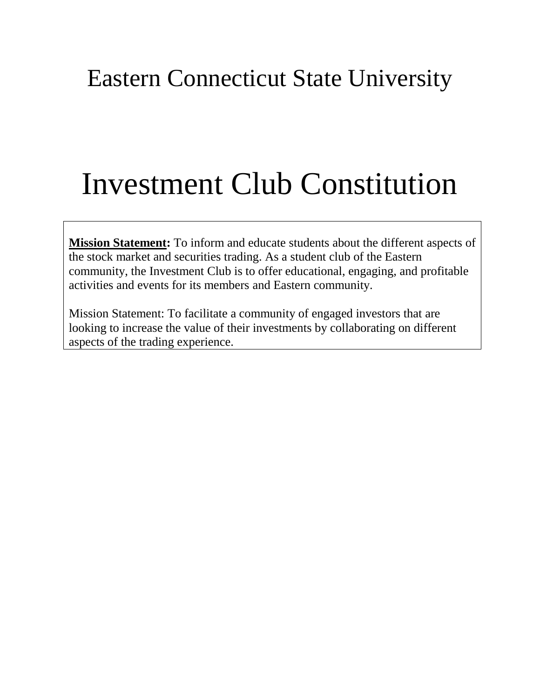# Eastern Connecticut State University

# Investment Club Constitution

**Mission Statement:** To inform and educate students about the different aspects of the stock market and securities trading. As a student club of the Eastern community, the Investment Club is to offer educational, engaging, and profitable activities and events for its members and Eastern community.

Mission Statement: To facilitate a community of engaged investors that are looking to increase the value of their investments by collaborating on different aspects of the trading experience.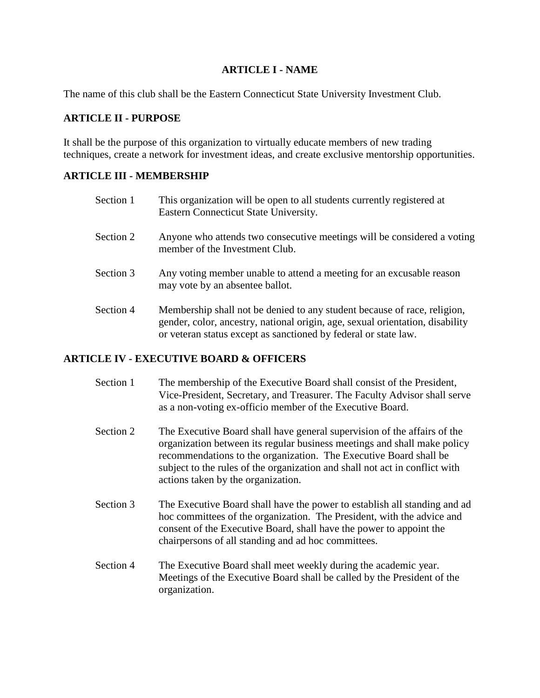#### **ARTICLE I - NAME**

The name of this club shall be the Eastern Connecticut State University Investment Club.

#### **ARTICLE II - PURPOSE**

It shall be the purpose of this organization to virtually educate members of new trading techniques, create a network for investment ideas, and create exclusive mentorship opportunities.

#### **ARTICLE III - MEMBERSHIP**

| Section 1 | This organization will be open to all students currently registered at<br>Eastern Connecticut State University.                                                                                                              |
|-----------|------------------------------------------------------------------------------------------------------------------------------------------------------------------------------------------------------------------------------|
| Section 2 | Anyone who attends two consecutive meetings will be considered a voting<br>member of the Investment Club.                                                                                                                    |
| Section 3 | Any voting member unable to attend a meeting for an excusable reason<br>may vote by an absentee ballot.                                                                                                                      |
| Section 4 | Membership shall not be denied to any student because of race, religion,<br>gender, color, ancestry, national origin, age, sexual orientation, disability<br>or veteran status except as sanctioned by federal or state law. |

# **ARTICLE IV - EXECUTIVE BOARD & OFFICERS**

- Section 1 The membership of the Executive Board shall consist of the President, Vice-President, Secretary, and Treasurer. The Faculty Advisor shall serve as a non-voting ex-officio member of the Executive Board.
- Section 2 The Executive Board shall have general supervision of the affairs of the organization between its regular business meetings and shall make policy recommendations to the organization. The Executive Board shall be subject to the rules of the organization and shall not act in conflict with actions taken by the organization.
- Section 3 The Executive Board shall have the power to establish all standing and ad hoc committees of the organization. The President, with the advice and consent of the Executive Board, shall have the power to appoint the chairpersons of all standing and ad hoc committees.
- Section 4 The Executive Board shall meet weekly during the academic year. Meetings of the Executive Board shall be called by the President of the organization.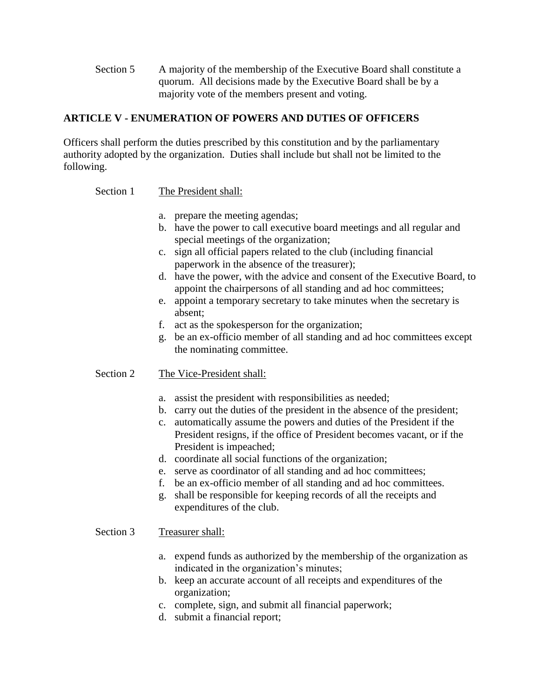Section 5 A majority of the membership of the Executive Board shall constitute a quorum. All decisions made by the Executive Board shall be by a majority vote of the members present and voting.

# **ARTICLE V - ENUMERATION OF POWERS AND DUTIES OF OFFICERS**

Officers shall perform the duties prescribed by this constitution and by the parliamentary authority adopted by the organization. Duties shall include but shall not be limited to the following.

#### Section 1 The President shall:

- a. prepare the meeting agendas;
- b. have the power to call executive board meetings and all regular and special meetings of the organization;
- c. sign all official papers related to the club (including financial paperwork in the absence of the treasurer);
- d. have the power, with the advice and consent of the Executive Board, to appoint the chairpersons of all standing and ad hoc committees;
- e. appoint a temporary secretary to take minutes when the secretary is absent;
- f. act as the spokesperson for the organization;
- g. be an ex-officio member of all standing and ad hoc committees except the nominating committee.

# Section 2 The Vice-President shall:

- a. assist the president with responsibilities as needed;
- b. carry out the duties of the president in the absence of the president;
- c. automatically assume the powers and duties of the President if the President resigns, if the office of President becomes vacant, or if the President is impeached;
- d. coordinate all social functions of the organization;
- e. serve as coordinator of all standing and ad hoc committees;
- f. be an ex-officio member of all standing and ad hoc committees.
- g. shall be responsible for keeping records of all the receipts and expenditures of the club.

#### Section 3 Treasurer shall:

- a. expend funds as authorized by the membership of the organization as indicated in the organization's minutes;
- b. keep an accurate account of all receipts and expenditures of the organization;
- c. complete, sign, and submit all financial paperwork;
- d. submit a financial report;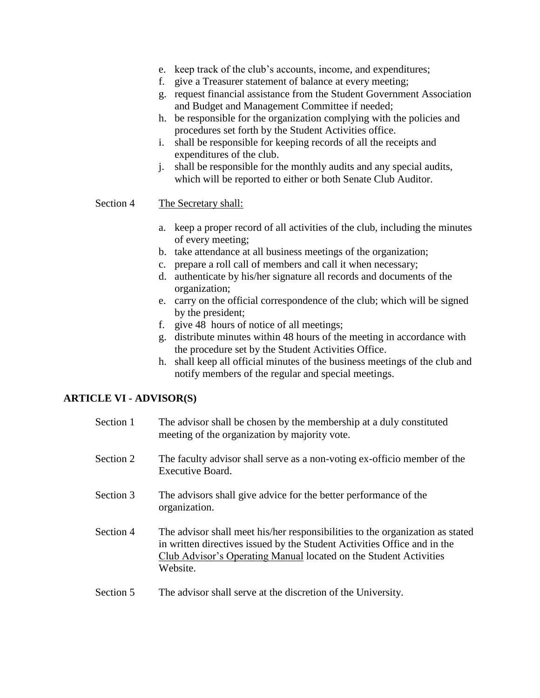- e. keep track of the club's accounts, income, and expenditures;
- f. give a Treasurer statement of balance at every meeting;
- g. request financial assistance from the Student Government Association and Budget and Management Committee if needed;
- h. be responsible for the organization complying with the policies and procedures set forth by the Student Activities office.
- i. shall be responsible for keeping records of all the receipts and expenditures of the club.
- j. shall be responsible for the monthly audits and any special audits, which will be reported to either or both Senate Club Auditor.

#### Section 4 The Secretary shall:

- a. keep a proper record of all activities of the club, including the minutes of every meeting;
- b. take attendance at all business meetings of the organization;
- c. prepare a roll call of members and call it when necessary;
- d. authenticate by his/her signature all records and documents of the organization;
- e. carry on the official correspondence of the club; which will be signed by the president;
- f. give 48 hours of notice of all meetings;
- g. distribute minutes within 48 hours of the meeting in accordance with the procedure set by the Student Activities Office.
- h. shall keep all official minutes of the business meetings of the club and notify members of the regular and special meetings.

#### **ARTICLE VI - ADVISOR(S)**

| Section 1                       | The advisor shall be chosen by the membership at a duly constituted<br>meeting of the organization by majority vote.                                                                                                                       |
|---------------------------------|--------------------------------------------------------------------------------------------------------------------------------------------------------------------------------------------------------------------------------------------|
| Section 2                       | The faculty advisor shall serve as a non-voting ex-officio member of the<br>Executive Board.                                                                                                                                               |
| Section 3                       | The advisors shall give advice for the better performance of the<br>organization.                                                                                                                                                          |
| Section 4                       | The advisor shall meet his/her responsibilities to the organization as stated<br>in written directives issued by the Student Activities Office and in the<br>Club Advisor's Operating Manual located on the Student Activities<br>Website. |
| $\mathcal{C}$ and $\mathcal{C}$ | The edviser shell cours of the discussion of the University                                                                                                                                                                                |

Section 5 The advisor shall serve at the discretion of the University.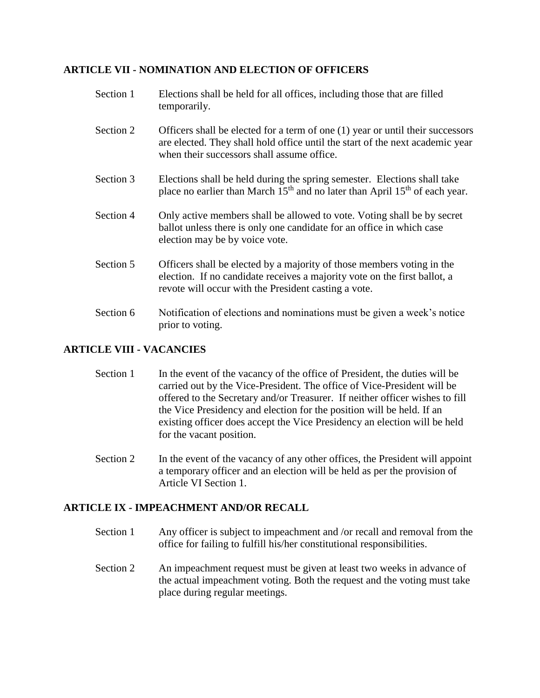#### **ARTICLE VII - NOMINATION AND ELECTION OF OFFICERS**

| Section 1 | Elections shall be held for all offices, including those that are filled<br>temporarily.                                                                                                                      |
|-----------|---------------------------------------------------------------------------------------------------------------------------------------------------------------------------------------------------------------|
| Section 2 | Officers shall be elected for a term of one (1) year or until their successors<br>are elected. They shall hold office until the start of the next academic year<br>when their successors shall assume office. |
| Section 3 | Elections shall be held during the spring semester. Elections shall take<br>place no earlier than March 15 <sup>th</sup> and no later than April 15 <sup>th</sup> of each year.                               |
| Section 4 | Only active members shall be allowed to vote. Voting shall be by secret<br>ballot unless there is only one candidate for an office in which case<br>election may be by voice vote.                            |
| Section 5 | Officers shall be elected by a majority of those members voting in the<br>election. If no candidate receives a majority vote on the first ballot, a<br>revote will occur with the President casting a vote.   |
| Section 6 | Notification of elections and nominations must be given a week's notice<br>prior to voting.                                                                                                                   |

# **ARTICLE VIII - VACANCIES**

- Section 1 In the event of the vacancy of the office of President, the duties will be carried out by the Vice-President. The office of Vice-President will be offered to the Secretary and/or Treasurer. If neither officer wishes to fill the Vice Presidency and election for the position will be held. If an existing officer does accept the Vice Presidency an election will be held for the vacant position.
- Section 2 In the event of the vacancy of any other offices, the President will appoint a temporary officer and an election will be held as per the provision of Article VI Section 1.

# **ARTICLE IX - IMPEACHMENT AND/OR RECALL**

- Section 1 Any officer is subject to impeachment and /or recall and removal from the office for failing to fulfill his/her constitutional responsibilities.
- Section 2 An impeachment request must be given at least two weeks in advance of the actual impeachment voting. Both the request and the voting must take place during regular meetings.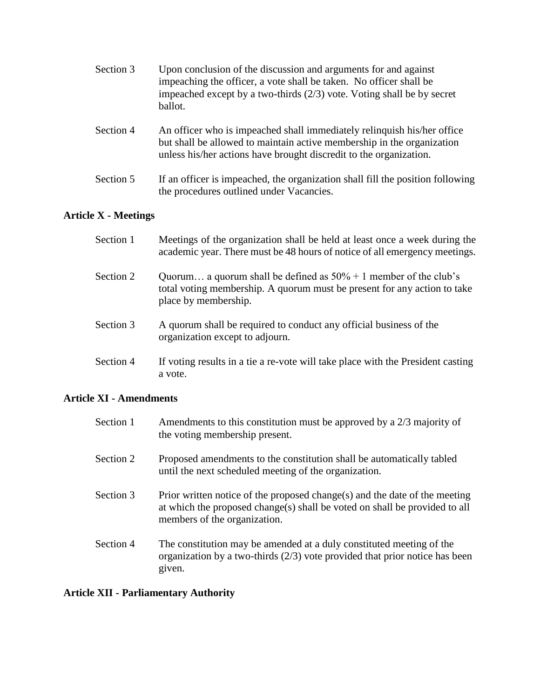| Section 3 | Upon conclusion of the discussion and arguments for and against<br>impeaching the officer, a vote shall be taken. No officer shall be<br>impeached except by a two-thirds $(2/3)$ vote. Voting shall be by secret<br>ballot. |
|-----------|------------------------------------------------------------------------------------------------------------------------------------------------------------------------------------------------------------------------------|
| Section 4 | An officer who is impeached shall immediately relinquish his/her office<br>but shall be allowed to maintain active membership in the organization<br>unless his/her actions have brought discredit to the organization.      |

Section 5 If an officer is impeached, the organization shall fill the position following the procedures outlined under Vacancies.

# **Article X - Meetings**

| Section 1 | Meetings of the organization shall be held at least once a week during the<br>academic year. There must be 48 hours of notice of all emergency meetings.                |
|-----------|-------------------------------------------------------------------------------------------------------------------------------------------------------------------------|
| Section 2 | Quorum a quorum shall be defined as $50\% + 1$ member of the club's<br>total voting membership. A quorum must be present for any action to take<br>place by membership. |
| Section 3 | A quorum shall be required to conduct any official business of the<br>organization except to adjourn.                                                                   |
| Section 4 | If voting results in a tie a re-vote will take place with the President casting<br>a vote.                                                                              |

# **Article XI - Amendments**

| Section 1 | Amendments to this constitution must be approved by a $2/3$ majority of<br>the voting membership present.                                                                                |
|-----------|------------------------------------------------------------------------------------------------------------------------------------------------------------------------------------------|
| Section 2 | Proposed amendments to the constitution shall be automatically tabled<br>until the next scheduled meeting of the organization.                                                           |
| Section 3 | Prior written notice of the proposed change(s) and the date of the meeting<br>at which the proposed change(s) shall be voted on shall be provided to all<br>members of the organization. |
| Section 4 | The constitution may be amended at a duly constituted meeting of the<br>organization by a two-thirds $(2/3)$ vote provided that prior notice has been<br>given.                          |

# **Article XII - Parliamentary Authority**